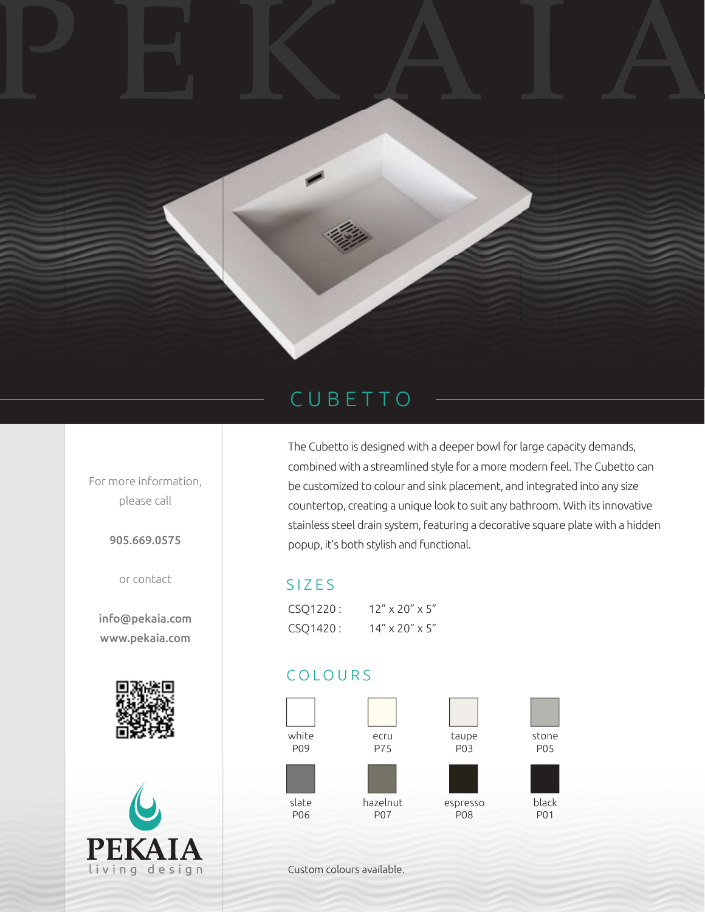

## CUBETTO

For more information, please call

905.669.0575

or contact

info@pekaia.com www.pekaia.com





The Cubetto is designed with a deeper bowl for large capacity demands, combined with a streamlined style for a more modern feel. The Cubetto can be customized to colour and sink placement, and integrated into any size countertop, creating a unique look to suit any bathroom. With its innovative stainless steel drain system, featuring a decorative square plate with a hidden popup, it's both stylish and functional.

## SIZES

| CSQ1220: | $12'' \times 20'' \times 5''$ |
|----------|-------------------------------|
| CSQ1420: | $14'' \times 20'' \times 5''$ |

## COLOURS



Custom colours available.